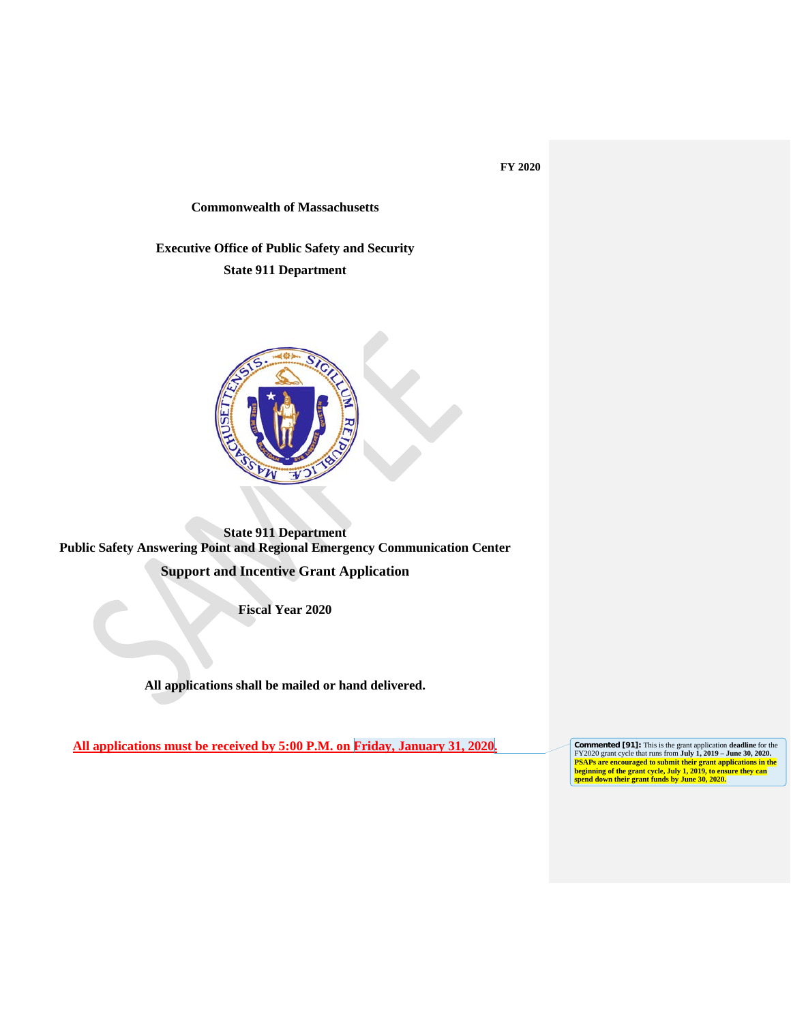### **FY 2020**

### **Commonwealth of Massachusetts**

**Executive Office of Public Safety and Security State 911 Department**



**State 911 Department Public Safety Answering Point and Regional Emergency Communication Center** 

**Support and Incentive Grant Application**

**Fiscal Year 2020**

**All applications shall be mailed or hand delivered.** 

**All applications must be received by 5:00 P.M. on Friday, January 31, 2020.** 

FY2020 grant cycle that runs from **July 1, 2019** – **June 30, 2020.**<br>**PSAPs are encouraged to submit their grant applications in the beginning of the grant cycle, July 1, 2019, to ensure they can spend down their grant fund**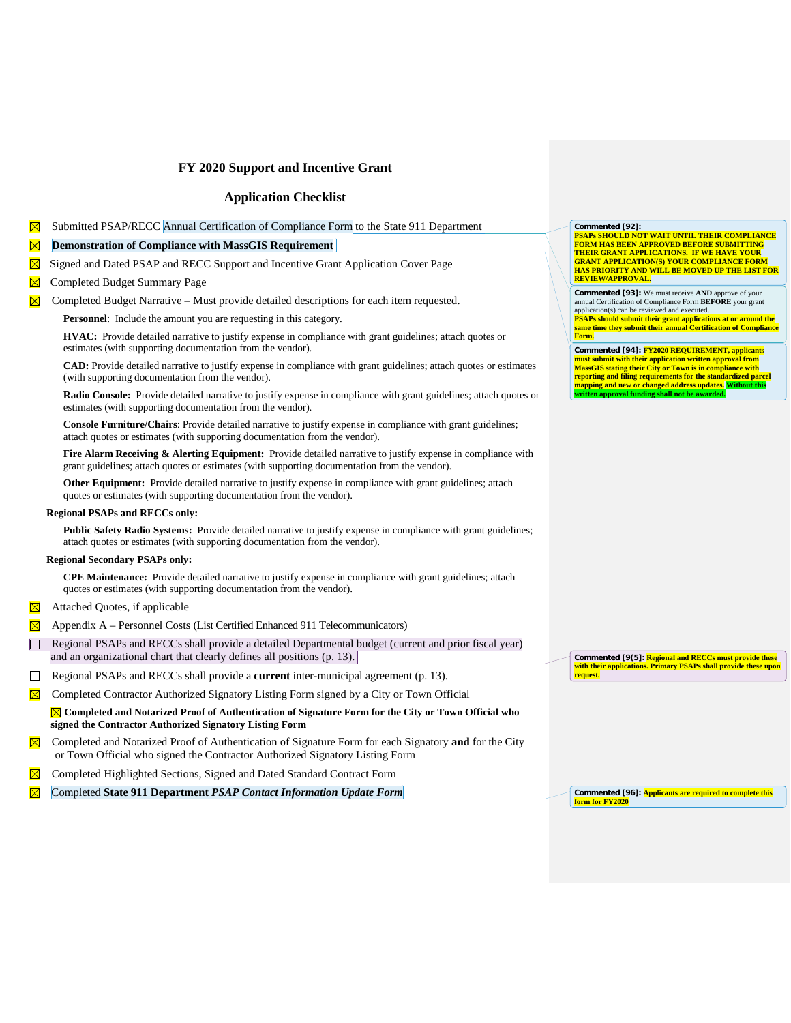### **Application Checklist**

Submitted PSAP/RECC Annual Certification of Compliance Form to the State 911 Department

| ⊠            | <b>Demonstration of Compliance with MassGIS Requirement</b>                                                                                                                                                  |
|--------------|--------------------------------------------------------------------------------------------------------------------------------------------------------------------------------------------------------------|
| ⊠            | Signed and Dated PSAP and RECC Support and Incentive Grant Application Cover Page                                                                                                                            |
| ⊠            | Completed Budget Summary Page                                                                                                                                                                                |
| $\boxtimes$  | Completed Budget Narrative – Must provide detailed descriptions for each item requested.                                                                                                                     |
|              | <b>Personnel:</b> Include the amount you are requesting in this category.                                                                                                                                    |
|              | <b>HVAC:</b> Provide detailed narrative to justify expense in compliance with grant guidelines; attach quotes or<br>estimates (with supporting documentation from the vendor).                               |
|              | CAD: Provide detailed narrative to justify expense in compliance with grant guidelines; attach quotes or estimates<br>(with supporting documentation from the vendor).                                       |
|              | <b>Radio Console:</b> Provide detailed narrative to justify expense in compliance with grant guidelines; attach quotes or<br>estimates (with supporting documentation from the vendor).                      |
|              | <b>Console Furniture/Chairs:</b> Provide detailed narrative to justify expense in compliance with grant guidelines;<br>attach quotes or estimates (with supporting documentation from the vendor).           |
|              | Fire Alarm Receiving & Alerting Equipment: Provide detailed narrative to justify expense in compliance with<br>grant guidelines; attach quotes or estimates (with supporting documentation from the vendor). |
|              | <b>Other Equipment:</b> Provide detailed narrative to justify expense in compliance with grant guidelines; attach<br>quotes or estimates (with supporting documentation from the vendor).                    |
|              | <b>Regional PSAPs and RECCs only:</b>                                                                                                                                                                        |
|              | <b>Public Safety Radio Systems:</b> Provide detailed narrative to justify expense in compliance with grant guidelines;<br>attach quotes or estimates (with supporting documentation from the vendor).        |
|              | <b>Regional Secondary PSAPs only:</b>                                                                                                                                                                        |
|              | <b>CPE Maintenance:</b> Provide detailed narrative to justify expense in compliance with grant guidelines; attach<br>quotes or estimates (with supporting documentation from the vendor).                    |
| $\boxtimes$  | Attached Quotes, if applicable                                                                                                                                                                               |
| ⊠            | Appendix A - Personnel Costs (List Certified Enhanced 911 Telecommunicators)                                                                                                                                 |
| $\Box$       | Regional PSAPs and RECCs shall provide a detailed Departmental budget (current and prior fiscal year)<br>and an organizational chart that clearly defines all positions (p. 13).                             |
| $\mathsf{L}$ | Regional PSAPs and RECCs shall provide a current inter-municipal agreement (p. 13).                                                                                                                          |
|              | Completed Contractor Authorized Signatory Listing Form signed by a City or Town Official                                                                                                                     |
|              | ⊠ Completed and Notarized Proof of Authentication of Signature Form for the City or Town Official who<br>signed the Contractor Authorized Signatory Listing Form                                             |
| $\boxtimes$  | Completed and Notarized Proof of Authentication of Signature Form for each Signatory and for the City<br>or Town Official who signed the Contractor Authorized Signatory Listing Form                        |
| ⊠            | Completed Highlighted Sections, Signed and Dated Standard Contract Form                                                                                                                                      |
|              | Completed State 911 Department PSAP Contact Information Update Form                                                                                                                                          |

Commented [92]:<br><mark>PSAPs SHOULD NOT WAIT UNTIL THEIR COMPLIANCE</mark><br><mark>FORM HAS BEEN APPROVED BEFORE SUBMITTING</mark><br>THEIR GRANT APPLICATIONS. IF WE HAVE YOUR **GRANT APPLICATION(S) YOUR COMPLIANCE FORM HAS PRIORITY AND WILL BE MOVED UP THE LIST FOR REVIEW/APPROVAL.**

**Commented [93]:** We must receive AND approve of your<br>annual Certification of Compliance Form **BEFORE** your grant<br>application(s) can be reviewed and executed.<br>**PSAPs should submit their grant applications at or around the Form.**

**Commented [94]: FY2020 REQUIREMENT, applicants must submit with their application written approval from MassGIS stating their City or Town is in compliance with reporting and filing requirements for the standardized parcel mapping and new or changed address updates. Without this written approval funding shall not be awarded.**

**Commented [9(5]: Regional and RECCs must provide these with their applications. Primary PSAPs shall provide these upon**  with their application<br>request.

**Commented [96]: Applicants are required to complete this form for FY2020**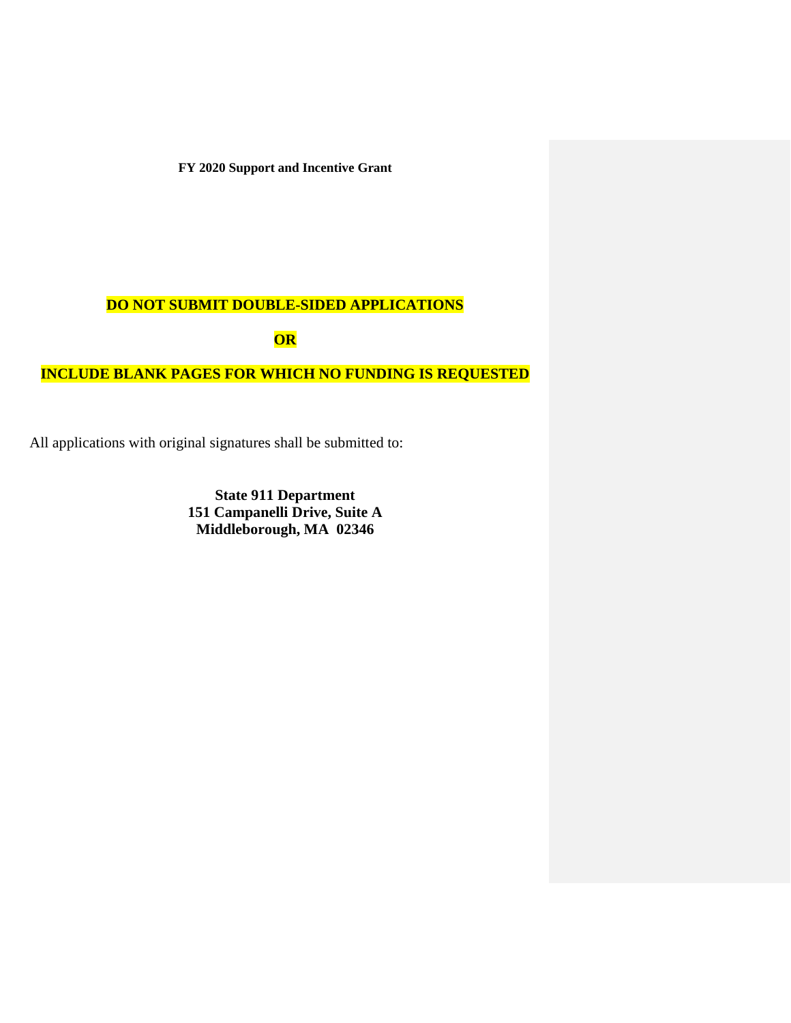# **DO NOT SUBMIT DOUBLE-SIDED APPLICATIONS**

**OR** 

# **INCLUDE BLANK PAGES FOR WHICH NO FUNDING IS REQUESTED**

All applications with original signatures shall be submitted to:

**State 911 Department 151 Campanelli Drive, Suite A Middleborough, MA 02346**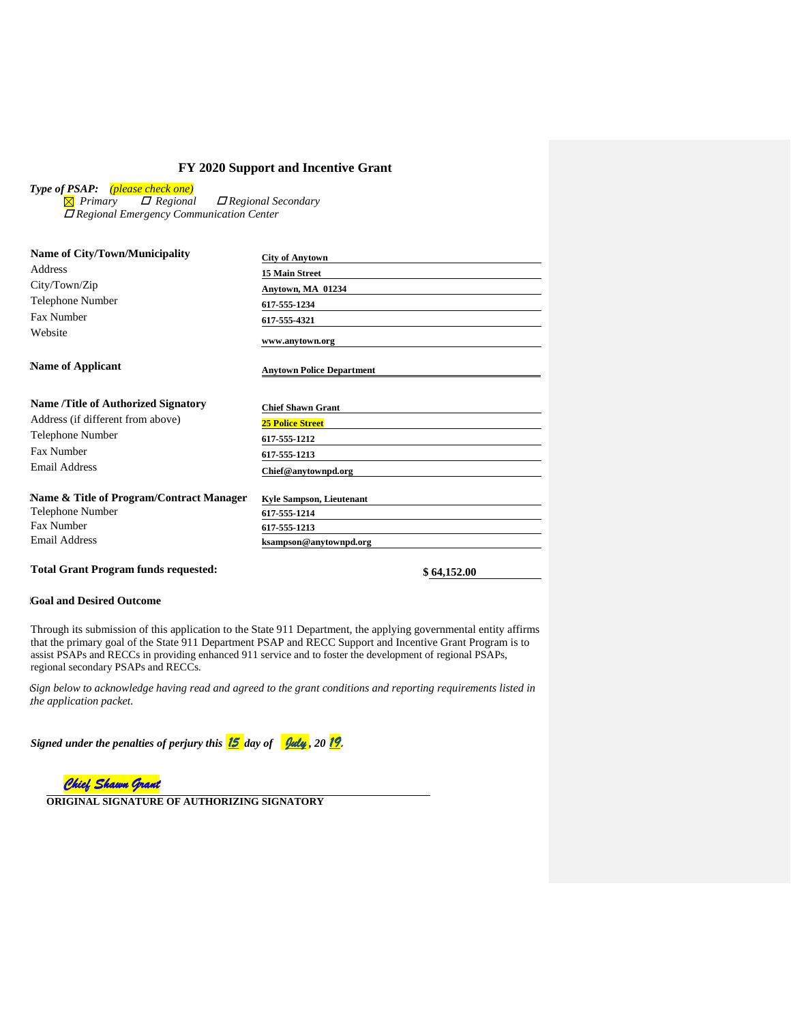*Type of PSAP: (please check one)*

 *Primary Regional Regional Secondary Regional Emergency Communication Center*

| <b>Name of City/Town/Municipality</b>      | <b>City of Anytown</b>           |
|--------------------------------------------|----------------------------------|
| Address                                    | <b>15 Main Street</b>            |
| City/Town/Zip                              | Anytown, MA 01234                |
| <b>Telephone Number</b>                    | 617-555-1234                     |
| <b>Fax Number</b>                          | 617-555-4321                     |
| Website                                    | www.anytown.org                  |
| <b>Name of Applicant</b>                   | <b>Anytown Police Department</b> |
| <b>Name /Title of Authorized Signatory</b> | <b>Chief Shawn Grant</b>         |
| Address (if different from above)          | <b>25 Police Street</b>          |
| <b>Telephone Number</b>                    | 617-555-1212                     |
| Fax Number                                 | 617-555-1213                     |
| Email Address                              | Chief@anytownpd.org              |
| Name & Title of Program/Contract Manager   | <b>Kyle Sampson, Lieutenant</b>  |
| <b>Telephone Number</b>                    | 617-555-1214                     |
| Fax Number                                 | 617-555-1213                     |
| Email Address                              | ksampson@anytownpd.org           |
|                                            |                                  |

# **Total Grant Program funds requested: \$ 64,152.00**

### **5Goal and Desired Outcome**

Through its submission of this application to the State 911 Department, the applying governmental entity affirms that the primary goal of the State 911 Department PSAP and RECC Support and Incentive Grant Program is to assist PSAPs and RECCs in providing enhanced 911 service and to foster the development of regional PSAPs, regional secondary PSAPs and RECCs.

**6** *Sign below to acknowledge having read and agreed to the grant conditions and reporting requirements listed in*  **.** *the application packet.* 

*Signed under the penalties of perjury this 15 day of July , 20 19.*



**ORIGINAL SIGNATURE OF AUTHORIZING SIGNATORY**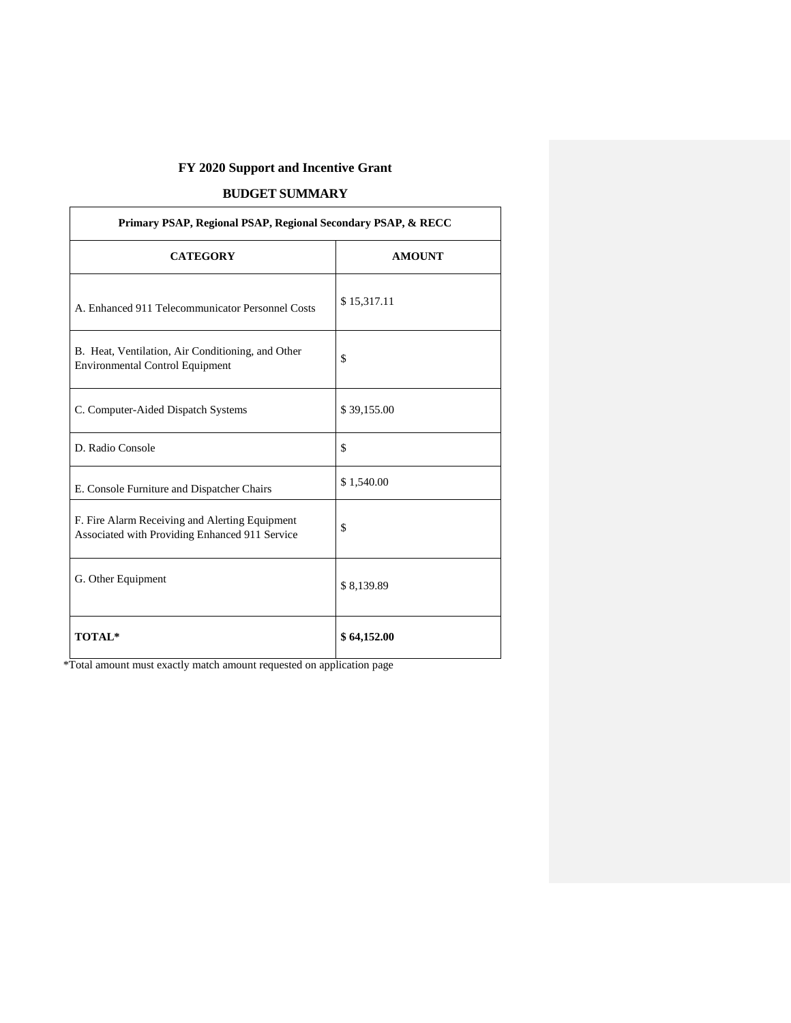# **BUDGET SUMMARY**

| Primary PSAP, Regional PSAP, Regional Secondary PSAP, & RECC                                     |               |  |  |  |
|--------------------------------------------------------------------------------------------------|---------------|--|--|--|
| <b>CATEGORY</b>                                                                                  | <b>AMOUNT</b> |  |  |  |
| A. Enhanced 911 Telecommunicator Personnel Costs                                                 | \$15,317.11   |  |  |  |
| B. Heat, Ventilation, Air Conditioning, and Other<br><b>Environmental Control Equipment</b>      | \$            |  |  |  |
| C. Computer-Aided Dispatch Systems                                                               | \$39,155.00   |  |  |  |
| D. Radio Console                                                                                 | \$            |  |  |  |
| E. Console Furniture and Dispatcher Chairs                                                       | \$1,540.00    |  |  |  |
| F. Fire Alarm Receiving and Alerting Equipment<br>Associated with Providing Enhanced 911 Service | \$            |  |  |  |
| G. Other Equipment                                                                               | \$8,139.89    |  |  |  |
| <b>TOTAL*</b>                                                                                    | \$64,152.00   |  |  |  |

\*Total amount must exactly match amount requested on application page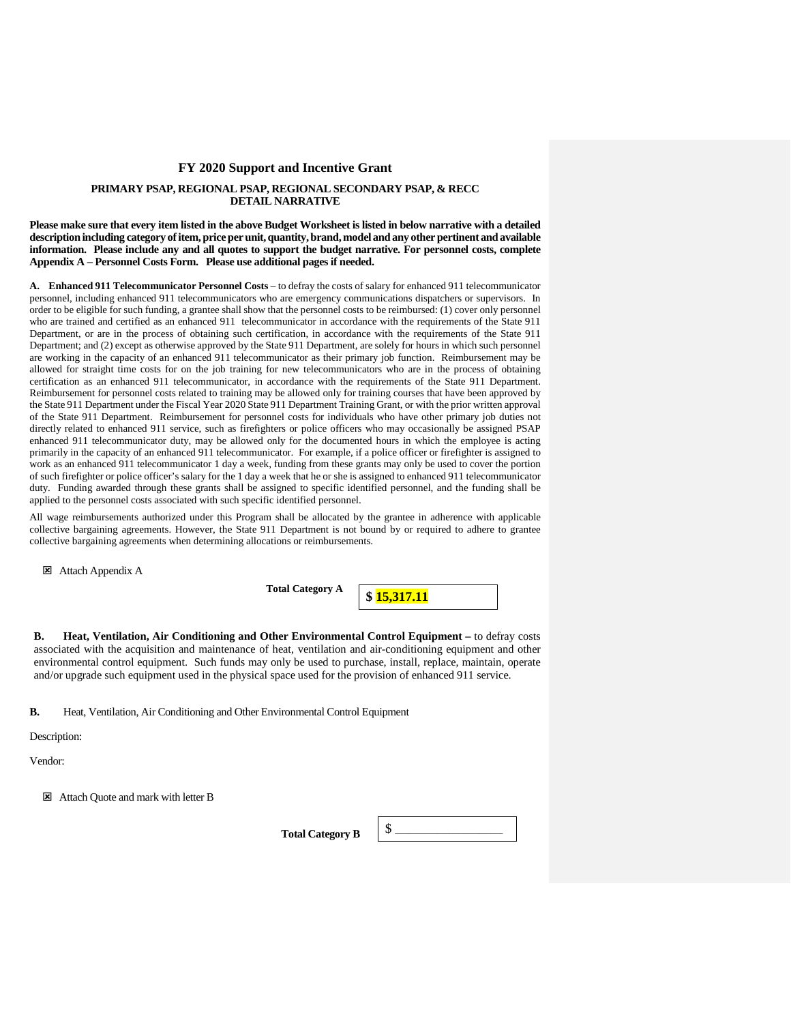### **PRIMARY PSAP, REGIONAL PSAP, REGIONAL SECONDARY PSAP, & RECC DETAIL NARRATIVE**

**Please make sure that every item listed in the above Budget Worksheet is listed in below narrative with a detailed description including category of item, price per unit, quantity, brand, model and any other pertinent and available information. Please include any and all quotes to support the budget narrative. For personnel costs, complete Appendix A – Personnel Costs Form. Please use additional pages if needed.**

**A. Enhanced 911 Telecommunicator Personnel Costs** – to defray the costs of salary for enhanced 911 telecommunicator personnel, including enhanced 911 telecommunicators who are emergency communications dispatchers or supervisors. In order to be eligible for such funding, a grantee shall show that the personnel costs to be reimbursed: (1) cover only personnel who are trained and certified as an enhanced 911 telecommunicator in accordance with the requirements of the State 911 Department, or are in the process of obtaining such certification, in accordance with the requirements of the State 911 Department; and (2) except as otherwise approved by the State 911 Department, are solely for hours in which such personnel are working in the capacity of an enhanced 911 telecommunicator as their primary job function. Reimbursement may be allowed for straight time costs for on the job training for new telecommunicators who are in the process of obtaining certification as an enhanced 911 telecommunicator, in accordance with the requirements of the State 911 Department. Reimbursement for personnel costs related to training may be allowed only for training courses that have been approved by the State 911 Department under the Fiscal Year 2020 State 911 Department Training Grant, or with the prior written approval of the State 911 Department. Reimbursement for personnel costs for individuals who have other primary job duties not directly related to enhanced 911 service, such as firefighters or police officers who may occasionally be assigned PSAP enhanced 911 telecommunicator duty, may be allowed only for the documented hours in which the employee is acting primarily in the capacity of an enhanced 911 telecommunicator. For example, if a police officer or firefighter is assigned to work as an enhanced 911 telecommunicator 1 day a week, funding from these grants may only be used to cover the portion of such firefighter or police officer's salary for the 1 day a week that he or she is assigned to enhanced 911 telecommunicator duty. Funding awarded through these grants shall be assigned to specific identified personnel, and the funding shall be applied to the personnel costs associated with such specific identified personnel.

All wage reimbursements authorized under this Program shall be allocated by the grantee in adherence with applicable collective bargaining agreements. However, the State 911 Department is not bound by or required to adhere to grantee collective bargaining agreements when determining allocations or reimbursements.

Attach Appendix A

**Total Category A**

**\$ 15,317.11**

**B. Heat, Ventilation, Air Conditioning and Other Environmental Control Equipment –** to defray costs associated with the acquisition and maintenance of heat, ventilation and air-conditioning equipment and other environmental control equipment. Such funds may only be used to purchase, install, replace, maintain, operate and/or upgrade such equipment used in the physical space used for the provision of enhanced 911 service.

**B.** Heat, Ventilation, Air Conditioning and Other Environmental Control Equipment

Description:

Vendor:

Attach Quote and mark with letter B

Total Category B  $\left| \begin{array}{c} \S \end{array} \right|$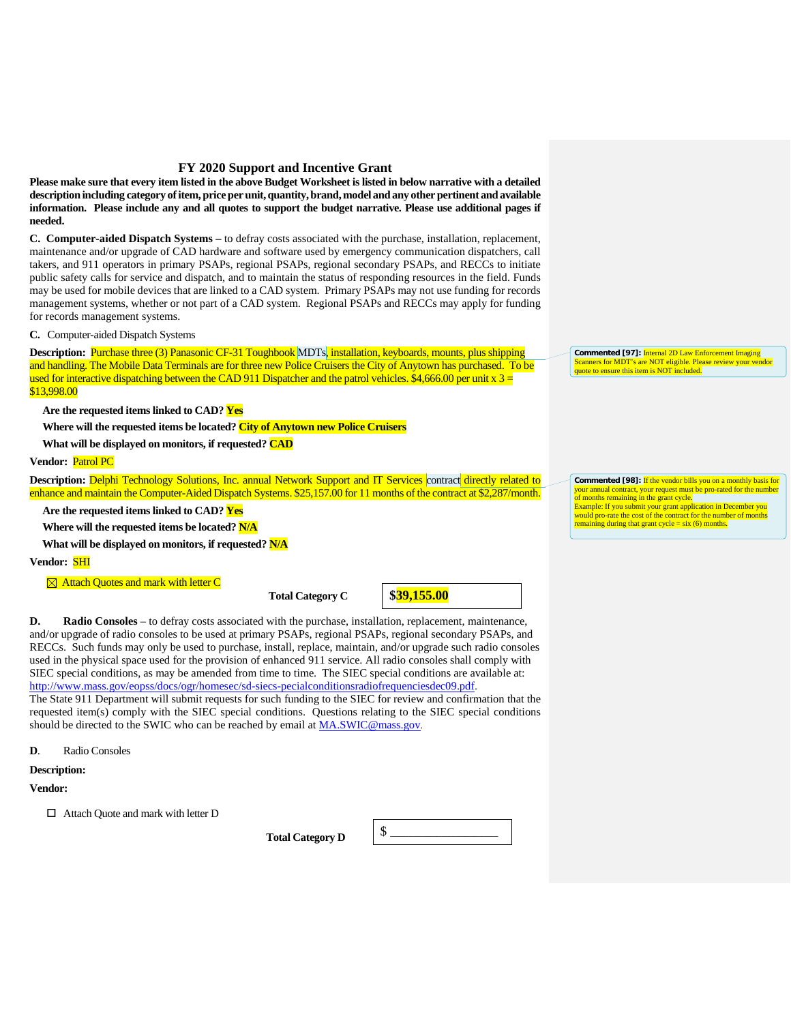**Please make sure that every item listed in the above Budget Worksheet is listed in below narrative with a detailed description including category of item, price per unit, quantity, brand, model and any other pertinent and available information. Please include any and all quotes to support the budget narrative. Please use additional pages if needed.**

**C. Computer-aided Dispatch Systems –** to defray costs associated with the purchase, installation, replacement, maintenance and/or upgrade of CAD hardware and software used by emergency communication dispatchers, call takers, and 911 operators in primary PSAPs, regional PSAPs, regional secondary PSAPs, and RECCs to initiate public safety calls for service and dispatch, and to maintain the status of responding resources in the field. Funds may be used for mobile devices that are linked to a CAD system. Primary PSAPs may not use funding for records management systems, whether or not part of a CAD system. Regional PSAPs and RECCs may apply for funding for records management systems.

#### **C.** Computer-aided Dispatch Systems

**Description:** Purchase three (3) Panasonic CF-31 Toughbook MDTs, installation, keyboards, mounts, plus shipping and handling. The Mobile Data Terminals are for three new Police Cruisers the City of Anytown has purchased. To be used for interactive dispatching between the CAD 911 Dispatcher and the patrol vehicles. \$4,666.00 per unit  $x = 3$ \$13,998.00

**Are the requested items linked to CAD? Yes**

**Where will the requested items be located? City of Anytown new Police Cruisers**

### **What will be displayed on monitors, if requested? CAD**

**Vendor:** Patrol PC

**Description:** Delphi Technology Solutions, Inc. annual Network Support and IT Services contract directly related to enhance and maintain the Computer-Aided Dispatch Systems. \$25,157.00 for 11 months of the contract at \$2,287/month.

**Are the requested items linked to CAD? Yes**

**Where will the requested items be located? N/A**

**What will be displayed on monitors, if requested? N/A**

**Vendor:** SHI

**<sup>** $\boxtimes$ **</sup> Attach Quotes and mark with letter C** 

**Total Category C** 

**\$39,155.00**

**D. Radio Consoles** – to defray costs associated with the purchase, installation, replacement, maintenance, and/or upgrade of radio consoles to be used at primary PSAPs, regional PSAPs, regional secondary PSAPs, and RECCs. Such funds may only be used to purchase, install, replace, maintain, and/or upgrade such radio consoles used in the physical space used for the provision of enhanced 911 service. All radio consoles shall comply with SIEC special conditions, as may be amended from time to time. The SIEC special conditions are available at: [http://www.mass.gov/eopss/docs/ogr/homesec/sd-siecs-pecialconditionsradiofrequenciesdec09.pdf.](http://www.mass.gov/eopss/docs/ogr/homesec/sd-siecs-pecialconditionsradiofrequenciesdec09.pdf)

The State 911 Department will submit requests for such funding to the SIEC for review and confirmation that the requested item(s) comply with the SIEC special conditions. Questions relating to the SIEC special conditions should be directed to the SWIC who can be reached by email at **MA.SWIC@mass.gov**.

**D**. Radio Consoles

### **Description:**

**Vendor:**

□ Attach Quote and mark with letter D

**Total Category D** 



**Commented [97]:** Internal 2D Law Enforcement Imaging Scanners for MDT's are NOT eligible. Please review your vendor quote to ensure this item is NOT included.

**Commented [98]:** If the vendor bills you on a monthly basis for your request must be pro-rated for the number your annual contract, your request must<br>of months remaining in the grant cycle. Example: If you submit your grant application in December you would pro-rate the cost of the contract for the number of months remaining during that grant cycle =  $\sin(6)$  months.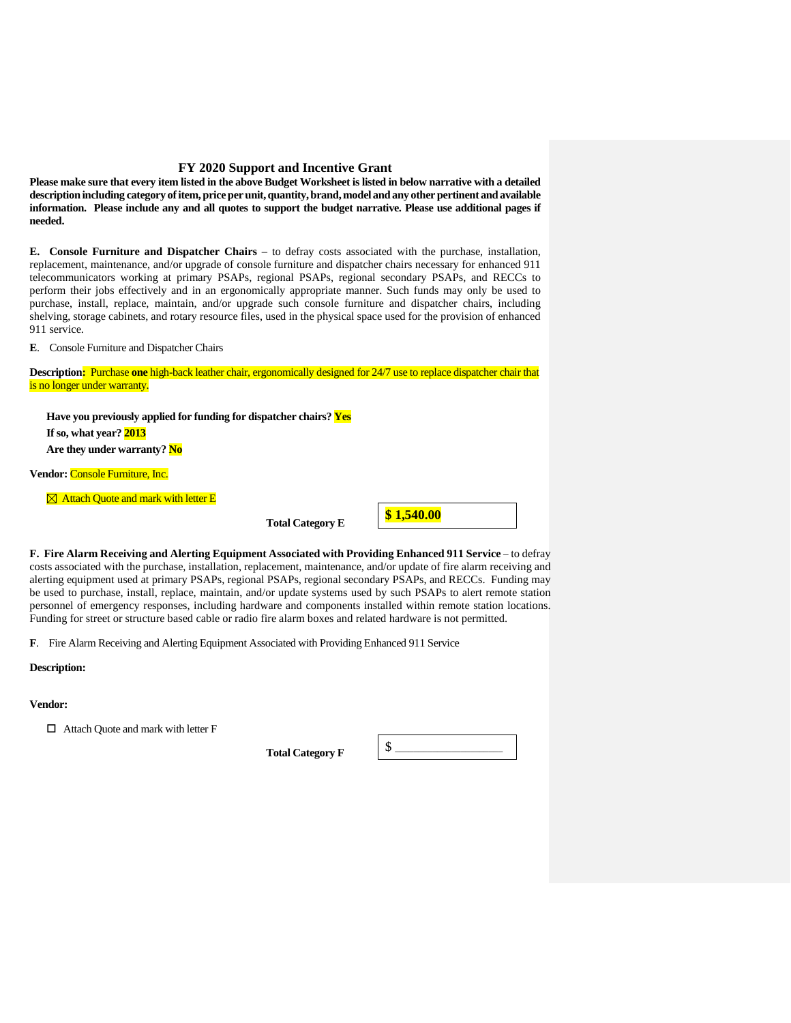**Please make sure that every item listed in the above Budget Worksheet is listed in below narrative with a detailed description including category of item, price per unit, quantity, brand, model and any other pertinent and available information. Please include any and all quotes to support the budget narrative. Please use additional pages if needed.**

**E. Console Furniture and Dispatcher Chairs** – to defray costs associated with the purchase, installation, replacement, maintenance, and/or upgrade of console furniture and dispatcher chairs necessary for enhanced 911 telecommunicators working at primary PSAPs, regional PSAPs, regional secondary PSAPs, and RECCs to perform their jobs effectively and in an ergonomically appropriate manner. Such funds may only be used to purchase, install, replace, maintain, and/or upgrade such console furniture and dispatcher chairs, including shelving, storage cabinets, and rotary resource files, used in the physical space used for the provision of enhanced 911 service.

**E**. Console Furniture and Dispatcher Chairs

**Description:** Purchase **one** high-back leather chair, ergonomically designed for 24/7 use to replace dispatcher chair that is no longer under warranty.

**Have you previously applied for funding for dispatcher chairs? Yes If so, what year? 2013 Are they under warranty? No Vendor:** Console Furniture, Inc.

 $\boxtimes$  **Attach Quote and mark with letter E** 

**Total Category E** 



**F. Fire Alarm Receiving and Alerting Equipment Associated with Providing Enhanced 911 Service** – to defray costs associated with the purchase, installation, replacement, maintenance, and/or update of fire alarm receiving and alerting equipment used at primary PSAPs, regional PSAPs, regional secondary PSAPs, and RECCs. Funding may be used to purchase, install, replace, maintain, and/or update systems used by such PSAPs to alert remote station personnel of emergency responses, including hardware and components installed within remote station locations. Funding for street or structure based cable or radio fire alarm boxes and related hardware is not permitted.

**F**. Fire Alarm Receiving and Alerting Equipment Associated with Providing Enhanced 911 Service

### **Description:**

### **Vendor:**

□ Attach Quote and mark with letter F

**Total Category F** 

\$ \_\_\_\_\_\_\_\_\_\_\_\_\_\_\_\_\_\_\_\_\_\_\_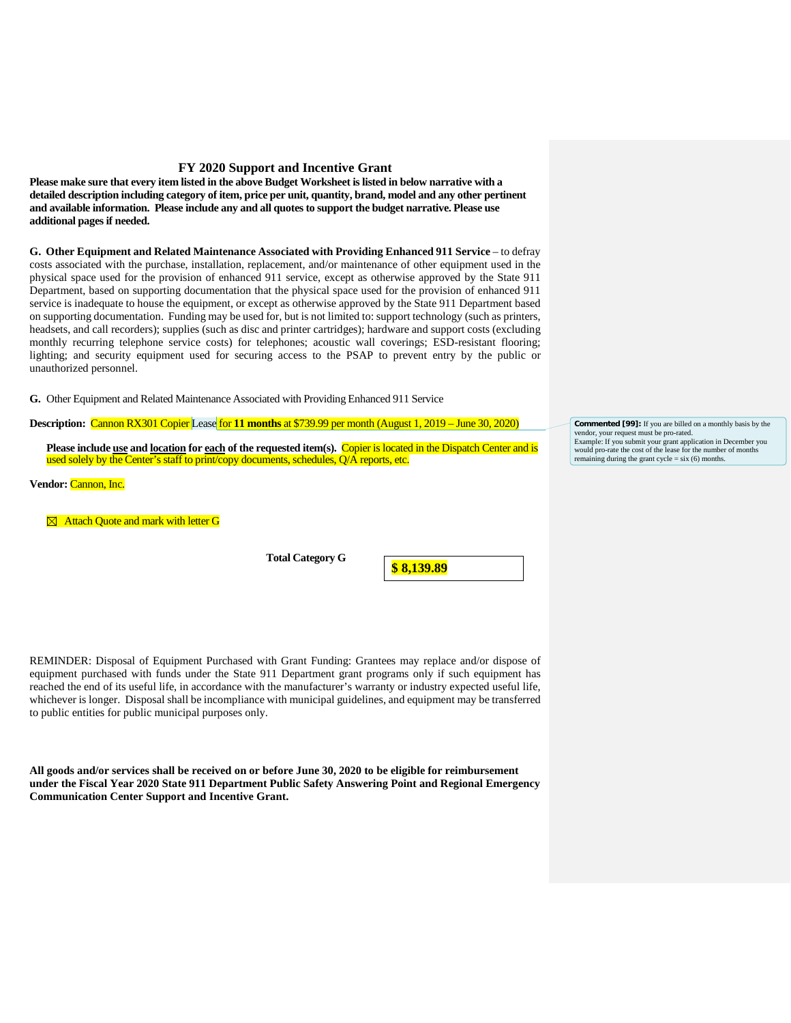**Please make sure that every item listed in the above Budget Worksheet is listed in below narrative with a detailed description including category of item, price per unit, quantity, brand, model and any other pertinent and available information. Please include any and all quotes to support the budget narrative. Please use additional pages if needed.**

**G. Other Equipment and Related Maintenance Associated with Providing Enhanced 911 Service** – to defray costs associated with the purchase, installation, replacement, and/or maintenance of other equipment used in the physical space used for the provision of enhanced 911 service, except as otherwise approved by the State 911 Department, based on supporting documentation that the physical space used for the provision of enhanced 911 service is inadequate to house the equipment, or except as otherwise approved by the State 911 Department based on supporting documentation. Funding may be used for, but is not limited to: support technology (such as printers, headsets, and call recorders); supplies (such as disc and printer cartridges); hardware and support costs (excluding monthly recurring telephone service costs) for telephones; acoustic wall coverings; ESD-resistant flooring; lighting; and security equipment used for securing access to the PSAP to prevent entry by the public or unauthorized personnel.

**G.** Other Equipment and Related Maintenance Associated with Providing Enhanced 911 Service

### **Description:** Cannon RX301 Copier Lease for **11 months** at \$739.99 per month (August 1, 2019 – June 30, 2020)

**Please include use and location for each of the requested item(s).** Copier is located in the Dispatch Center and is used solely by the Center's staff to print/copy documents, schedules, Q/A reports, etc.

**Vendor:** Cannon, Inc.

**<sup>** $\boxtimes$ **</sup> Attach Quote and mark with letter G** 

**Total Category G** 

**\$ 8,139.89**

REMINDER: Disposal of Equipment Purchased with Grant Funding: Grantees may replace and/or dispose of equipment purchased with funds under the State 911 Department grant programs only if such equipment has reached the end of its useful life, in accordance with the manufacturer's warranty or industry expected useful life, whichever is longer. Disposal shall be incompliance with municipal guidelines, and equipment may be transferred to public entities for public municipal purposes only.

**All goods and/or services shall be received on or before June 30, 2020 to be eligible for reimbursement under the Fiscal Year 2020 State 911 Department Public Safety Answering Point and Regional Emergency Communication Center Support and Incentive Grant.**

**Commented [99]:** If you are billed on a monthly basis by the vendor, your request must be pro-rated. Example: If you submit your grant application in December you would pro-rate the cost of the lease for the number of mon remaining during the grant cycle =  $six(6)$  months.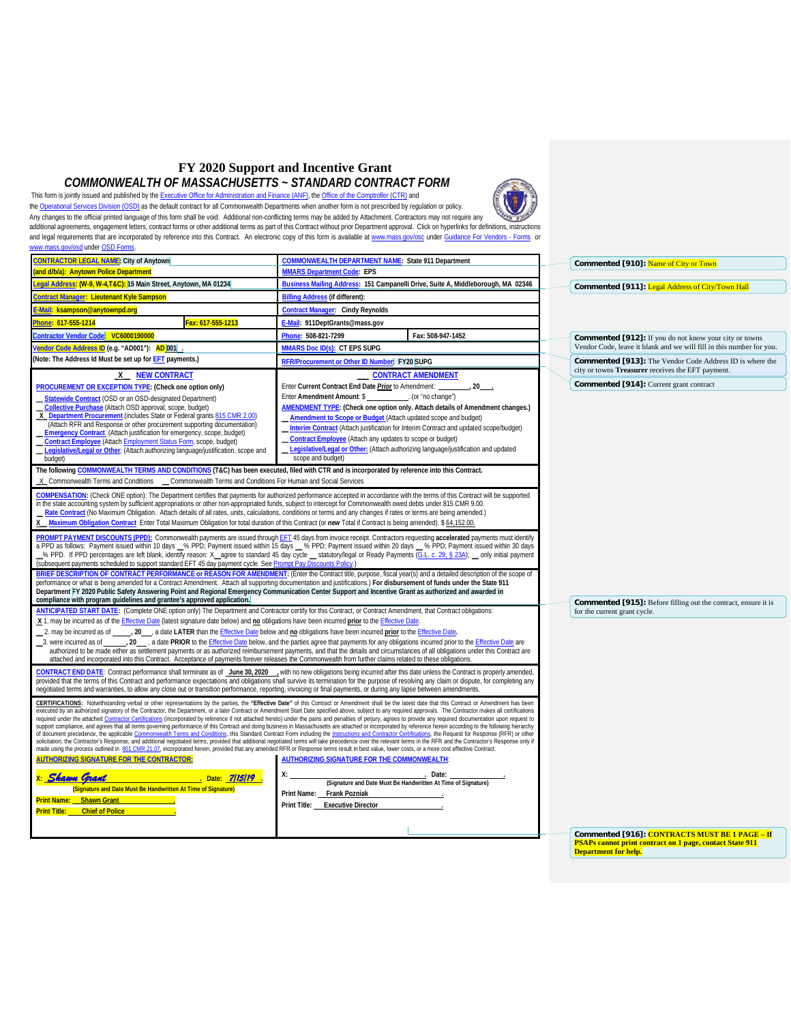### **FY 2020 Support and Incentive Grant** *COMMONWEALTH OF MASSACHUSETTS ~ STANDARD CONTRACT FORM*

This form is jointly issued and published by th[e Executive Office for Administration and Finance \(ANF\),](http://www.mass.gov/eoaf) the [Office of the Comptroller \(CTR\)](http://www.mass.gov/osc) and

th[e Operational Services Division \(OSD\)](http://www.mass.gov/osd) as the default contract for all Commonwealth Departments when another form is not prescribed by regulation or policy. Any changes to the official printed language of this form shall be void. Additional non-conflicting terms may be added by Attachment. Contractors may not require any serve that the state of the state of the state of the st [www.mass.gov/osd](http://www.mass.gov/osd) under OSD Forms.

<span id="page-9-0"></span>

| <b>CONTRACTOR LEGAL NAME:</b> City of Anytown                                                                                                                                                                                                                                                                                                                                                                                                                                                                                                                                                                                                                                                                                                                                                                                                                                                                                                                                                                                                                                                                                                                                                                                                                                                                                                                                                                                                                                                                                                   | <b>COMMONWEALTH DEPARTMENT NAME: State 911 Department</b>                                                                                                                                                                                                                                                                                                                                                                                                                                                                | Commented [910]: Name of City or Town                                                                         |  |  |
|-------------------------------------------------------------------------------------------------------------------------------------------------------------------------------------------------------------------------------------------------------------------------------------------------------------------------------------------------------------------------------------------------------------------------------------------------------------------------------------------------------------------------------------------------------------------------------------------------------------------------------------------------------------------------------------------------------------------------------------------------------------------------------------------------------------------------------------------------------------------------------------------------------------------------------------------------------------------------------------------------------------------------------------------------------------------------------------------------------------------------------------------------------------------------------------------------------------------------------------------------------------------------------------------------------------------------------------------------------------------------------------------------------------------------------------------------------------------------------------------------------------------------------------------------|--------------------------------------------------------------------------------------------------------------------------------------------------------------------------------------------------------------------------------------------------------------------------------------------------------------------------------------------------------------------------------------------------------------------------------------------------------------------------------------------------------------------------|---------------------------------------------------------------------------------------------------------------|--|--|
| and d/b/a): Anytown Police Department                                                                                                                                                                                                                                                                                                                                                                                                                                                                                                                                                                                                                                                                                                                                                                                                                                                                                                                                                                                                                                                                                                                                                                                                                                                                                                                                                                                                                                                                                                           | <b>MMARS Department Code: EPS</b>                                                                                                                                                                                                                                                                                                                                                                                                                                                                                        |                                                                                                               |  |  |
| egal Address: (W-9, W-4,T&C): 15 Main Street, Anytown, MA 01234                                                                                                                                                                                                                                                                                                                                                                                                                                                                                                                                                                                                                                                                                                                                                                                                                                                                                                                                                                                                                                                                                                                                                                                                                                                                                                                                                                                                                                                                                 | Business Mailing Address: 151 Campanelli Drive, Suite A, Middleborough, MA 02346                                                                                                                                                                                                                                                                                                                                                                                                                                         | Commented [911]: Legal Address of City/Town Hall                                                              |  |  |
| <u>ontract Manager</u> : Lieutenant Kyle Sampson                                                                                                                                                                                                                                                                                                                                                                                                                                                                                                                                                                                                                                                                                                                                                                                                                                                                                                                                                                                                                                                                                                                                                                                                                                                                                                                                                                                                                                                                                                | <b>Billing Address (if different):</b>                                                                                                                                                                                                                                                                                                                                                                                                                                                                                   |                                                                                                               |  |  |
| Mail: ksampson@anytownpd.org                                                                                                                                                                                                                                                                                                                                                                                                                                                                                                                                                                                                                                                                                                                                                                                                                                                                                                                                                                                                                                                                                                                                                                                                                                                                                                                                                                                                                                                                                                                    | <b>Contract Manager: Cindy Reynolds</b>                                                                                                                                                                                                                                                                                                                                                                                                                                                                                  |                                                                                                               |  |  |
| hone: 617-555-1214<br>Fax: 617-555-1213                                                                                                                                                                                                                                                                                                                                                                                                                                                                                                                                                                                                                                                                                                                                                                                                                                                                                                                                                                                                                                                                                                                                                                                                                                                                                                                                                                                                                                                                                                         | E-Mail: 911DeptGrants@mass.gov                                                                                                                                                                                                                                                                                                                                                                                                                                                                                           |                                                                                                               |  |  |
| Contractor Vendor Code: VC6000190000                                                                                                                                                                                                                                                                                                                                                                                                                                                                                                                                                                                                                                                                                                                                                                                                                                                                                                                                                                                                                                                                                                                                                                                                                                                                                                                                                                                                                                                                                                            | Phone: 508-821-7299<br>Fax: 508-947-1452                                                                                                                                                                                                                                                                                                                                                                                                                                                                                 | <b>Commented [912]:</b> If you do not know your city or towns                                                 |  |  |
| Vendor Code Address ID (e.g. "AD001"): AD 001                                                                                                                                                                                                                                                                                                                                                                                                                                                                                                                                                                                                                                                                                                                                                                                                                                                                                                                                                                                                                                                                                                                                                                                                                                                                                                                                                                                                                                                                                                   | MMARS Doc ID(s): CT EPS SUPG                                                                                                                                                                                                                                                                                                                                                                                                                                                                                             | Vendor Code, leave it blank and we will fill in this number for you.                                          |  |  |
| (Note: The Address Id Must be set up for EFT payments.)                                                                                                                                                                                                                                                                                                                                                                                                                                                                                                                                                                                                                                                                                                                                                                                                                                                                                                                                                                                                                                                                                                                                                                                                                                                                                                                                                                                                                                                                                         | RFR/Procurement or Other ID Number: FY20 SUPG                                                                                                                                                                                                                                                                                                                                                                                                                                                                            | Commented [913]: The Vendor Code Address ID is where the<br>city or towns Treasurer receives the EFT payment. |  |  |
| X NEW CONTRACT                                                                                                                                                                                                                                                                                                                                                                                                                                                                                                                                                                                                                                                                                                                                                                                                                                                                                                                                                                                                                                                                                                                                                                                                                                                                                                                                                                                                                                                                                                                                  | <b>CONTRACT AMENDMENT</b>                                                                                                                                                                                                                                                                                                                                                                                                                                                                                                |                                                                                                               |  |  |
| PROCUREMENT OR EXCEPTION TYPE: (Check one option only)                                                                                                                                                                                                                                                                                                                                                                                                                                                                                                                                                                                                                                                                                                                                                                                                                                                                                                                                                                                                                                                                                                                                                                                                                                                                                                                                                                                                                                                                                          | Enter Current Contract End Date Prior to Amendment:<br>$20$ .                                                                                                                                                                                                                                                                                                                                                                                                                                                            | Commented [914]: Current grant contract                                                                       |  |  |
| Statewide Contract (OSD or an OSD-designated Department)                                                                                                                                                                                                                                                                                                                                                                                                                                                                                                                                                                                                                                                                                                                                                                                                                                                                                                                                                                                                                                                                                                                                                                                                                                                                                                                                                                                                                                                                                        | Enter Amendment Amount: \$<br>. (or "no change")                                                                                                                                                                                                                                                                                                                                                                                                                                                                         |                                                                                                               |  |  |
| Collective Purchase (Attach OSD approval, scope, budget)<br>X Department Procurement (includes State or Federal grants 815 CMR 2.00)                                                                                                                                                                                                                                                                                                                                                                                                                                                                                                                                                                                                                                                                                                                                                                                                                                                                                                                                                                                                                                                                                                                                                                                                                                                                                                                                                                                                            | <b>AMENDMENT TYPE:</b> (Check one option only. Attach details of Amendment changes.)<br>Amendment to Scope or Budget (Attach updated scope and budget)                                                                                                                                                                                                                                                                                                                                                                   |                                                                                                               |  |  |
| (Attach RFR and Response or other procurement supporting documentation)                                                                                                                                                                                                                                                                                                                                                                                                                                                                                                                                                                                                                                                                                                                                                                                                                                                                                                                                                                                                                                                                                                                                                                                                                                                                                                                                                                                                                                                                         | <b>Interim Contract</b> (Attach justification for Interim Contract and updated scope/budget)                                                                                                                                                                                                                                                                                                                                                                                                                             |                                                                                                               |  |  |
| <b>Emergency Contract</b> (Attach justification for emergency, scope, budget)<br>Contract Employee (Attach Employment Status Form, scope, budget)                                                                                                                                                                                                                                                                                                                                                                                                                                                                                                                                                                                                                                                                                                                                                                                                                                                                                                                                                                                                                                                                                                                                                                                                                                                                                                                                                                                               | <b>Contract Employee</b> (Attach any updates to scope or budget)                                                                                                                                                                                                                                                                                                                                                                                                                                                         |                                                                                                               |  |  |
| Legislative/Legal or Other: (Attach authorizing language/justification, scope and                                                                                                                                                                                                                                                                                                                                                                                                                                                                                                                                                                                                                                                                                                                                                                                                                                                                                                                                                                                                                                                                                                                                                                                                                                                                                                                                                                                                                                                               | Legislative/Legal or Other: (Attach authorizing language/justification and updated                                                                                                                                                                                                                                                                                                                                                                                                                                       |                                                                                                               |  |  |
| budget)                                                                                                                                                                                                                                                                                                                                                                                                                                                                                                                                                                                                                                                                                                                                                                                                                                                                                                                                                                                                                                                                                                                                                                                                                                                                                                                                                                                                                                                                                                                                         | scope and budget)                                                                                                                                                                                                                                                                                                                                                                                                                                                                                                        |                                                                                                               |  |  |
| The following COMMONWEALTH TERMS AND CONDITIONS (T&C) has been executed, filed with CTR and is incorporated by reference into this Contract.                                                                                                                                                                                                                                                                                                                                                                                                                                                                                                                                                                                                                                                                                                                                                                                                                                                                                                                                                                                                                                                                                                                                                                                                                                                                                                                                                                                                    |                                                                                                                                                                                                                                                                                                                                                                                                                                                                                                                          |                                                                                                               |  |  |
| X Commonwealth Terms and Conditions Commonwealth Terms and Conditions For Human and Social Services                                                                                                                                                                                                                                                                                                                                                                                                                                                                                                                                                                                                                                                                                                                                                                                                                                                                                                                                                                                                                                                                                                                                                                                                                                                                                                                                                                                                                                             |                                                                                                                                                                                                                                                                                                                                                                                                                                                                                                                          |                                                                                                               |  |  |
| in the state accounting system by sufficient appropriations or other non-appropriated funds, subject to intercept for Commonwealth owed debts under 815 CMR 9.00.                                                                                                                                                                                                                                                                                                                                                                                                                                                                                                                                                                                                                                                                                                                                                                                                                                                                                                                                                                                                                                                                                                                                                                                                                                                                                                                                                                               | COMPENSATION: (Check ONE option): The Department certifies that payments for authorized performance accepted in accordance with the terms of this Contract will be supported                                                                                                                                                                                                                                                                                                                                             |                                                                                                               |  |  |
| Rate Contract (No Maximum Obligation. Attach details of all rates, units, calculations, conditions or terms and any changes if rates or terms are being amended.)                                                                                                                                                                                                                                                                                                                                                                                                                                                                                                                                                                                                                                                                                                                                                                                                                                                                                                                                                                                                                                                                                                                                                                                                                                                                                                                                                                               |                                                                                                                                                                                                                                                                                                                                                                                                                                                                                                                          |                                                                                                               |  |  |
| Maximum Obligation Contract Enter Total Maximum Obligation for total duration of this Contract (or new Total if Contract is being amended). \$ 64,152.00.<br>X.                                                                                                                                                                                                                                                                                                                                                                                                                                                                                                                                                                                                                                                                                                                                                                                                                                                                                                                                                                                                                                                                                                                                                                                                                                                                                                                                                                                 |                                                                                                                                                                                                                                                                                                                                                                                                                                                                                                                          |                                                                                                               |  |  |
| (subsequent payments scheduled to support standard EFT 45 day payment cycle. See Prompt Pay Discounts Policy.)                                                                                                                                                                                                                                                                                                                                                                                                                                                                                                                                                                                                                                                                                                                                                                                                                                                                                                                                                                                                                                                                                                                                                                                                                                                                                                                                                                                                                                  | PROMPT PAYMENT DISCOUNTS (PPD): Commonwealth payments are issued through EFT 45 days from invoice receipt. Contractors requesting accelerated payments must identify<br>a PPD as follows: Payment issued within 10 days _% PPD; Payment issued within 15 days _% PPD; Payment issued within 20 days _% PPD; Payment issued within 30 days<br>% PPD. If PPD percentages are left blank, identify reason: X_agree to standard 45 day cycle _ statutory/legal or Ready Payments (G.L. c. 29, § 23A); _ only initial payment |                                                                                                               |  |  |
| performance or what is being amended for a Contract Amendment. Attach all supporting documentation and justifications.) For disbursement of funds under the State 911<br>Department FY 2020 Public Safety Answering Point and Regional Emergency Communication Center Support and Incentive Grant as authorized and awarded in<br>compliance with program guidelines and grantee's approved application.                                                                                                                                                                                                                                                                                                                                                                                                                                                                                                                                                                                                                                                                                                                                                                                                                                                                                                                                                                                                                                                                                                                                        | BRIEF DESCRIPTION OF CONTRACT PERFORMANCE or REASON FOR AMENDMENT: (Enter the Contract title, purpose, fiscal year(s) and a detailed description of the scope of                                                                                                                                                                                                                                                                                                                                                         |                                                                                                               |  |  |
| ANTICIPATED START DATE: (Complete ONE option only) The Department and Contractor certify for this Contract, or Contract Amendment, that Contract obligations:                                                                                                                                                                                                                                                                                                                                                                                                                                                                                                                                                                                                                                                                                                                                                                                                                                                                                                                                                                                                                                                                                                                                                                                                                                                                                                                                                                                   |                                                                                                                                                                                                                                                                                                                                                                                                                                                                                                                          | <b>Commented [915]:</b> Before filling out the contract, ensure it is<br>for the current grant cycle.         |  |  |
| X 1. may be incurred as of the Effective Date (latest signature date below) and no obligations have been incurred prior to the Effective Date.                                                                                                                                                                                                                                                                                                                                                                                                                                                                                                                                                                                                                                                                                                                                                                                                                                                                                                                                                                                                                                                                                                                                                                                                                                                                                                                                                                                                  |                                                                                                                                                                                                                                                                                                                                                                                                                                                                                                                          |                                                                                                               |  |  |
| 2. may be incurred as of                                                                                                                                                                                                                                                                                                                                                                                                                                                                                                                                                                                                                                                                                                                                                                                                                                                                                                                                                                                                                                                                                                                                                                                                                                                                                                                                                                                                                                                                                                                        | . 20 ___ a date LATER than the <i>Effective Date</i> below and no obligations have been incurred prior to the <i>Effective Date</i> .                                                                                                                                                                                                                                                                                                                                                                                    |                                                                                                               |  |  |
|                                                                                                                                                                                                                                                                                                                                                                                                                                                                                                                                                                                                                                                                                                                                                                                                                                                                                                                                                                                                                                                                                                                                                                                                                                                                                                                                                                                                                                                                                                                                                 | 30 at be Effective Date are U.C. a date PRIOR to the Effective Date below, and the parties agree that payments for any obligations incurred prior to the Effective Date are<br>authorized to be made either as settlement payments or as authorized reimbursement payments, and that the details and circumstances of all obligations under this Contract are                                                                                                                                                            |                                                                                                               |  |  |
| attached and incorporated into this Contract. Acceptance of payments forever releases the Commonwealth from further claims related to these obligations.                                                                                                                                                                                                                                                                                                                                                                                                                                                                                                                                                                                                                                                                                                                                                                                                                                                                                                                                                                                                                                                                                                                                                                                                                                                                                                                                                                                        |                                                                                                                                                                                                                                                                                                                                                                                                                                                                                                                          |                                                                                                               |  |  |
| CONTRACT END DATE: Contract performance shall terminate as of June 30, 2020 , with no new obligations being incurred after this date unless the Contract is properly amended,<br>provided that the terms of this Contract and performance expectations and obligations shall survive its termination for the purpose of resolving any claim or dispute, for completing any<br>negotiated terms and warranties, to allow any close out or transition performance, reporting, invoicing or final payments, or during any lapse between amendments                                                                                                                                                                                                                                                                                                                                                                                                                                                                                                                                                                                                                                                                                                                                                                                                                                                                                                                                                                                                 |                                                                                                                                                                                                                                                                                                                                                                                                                                                                                                                          |                                                                                                               |  |  |
| CERTIFICATIONS: Notwithstanding verbal or other representations by the parties, the "Effective Date" of this Contract or Amendment shall be the latest date that this Contract or Amendment has been<br>executed by an authorized signatory of the Contractor, the Department, or a later Contract or Amendment Start Date specified above, subject to any required approvals. The Contractor makes all certifications<br>required under the attached Contractor Certifications (incorporated by reference if not attached hereto) under the pains and penalties of perjury, agrees to provide any required documentation upon request to<br>support compliance, and agrees that all terms governing performance of this Contract and doing business in Massachusetts are attached or incorporated by reference herein according to the following hierarchy<br>of document precedence, the applicable Commonwealth Terms and Conditions, this Standard Contract Form including the Instructions and Contractor Certifications, the Request for Response (RFR) or other<br>solicitation, the Contractor's Response, and additional negotiated terms, provided that additional negotiated terms will take precedence over the relevant terms in the RFR and the Contractor's Response only if<br>made using the process outlined in 801 CMR 21.07, incorporated herein, provided that any amended RFR or Response terms result in best value, lower costs, or a more cost effective Contract.<br><b>AUTHORIZING SIGNATURE FOR THE CONTRACTOR:</b> |                                                                                                                                                                                                                                                                                                                                                                                                                                                                                                                          |                                                                                                               |  |  |
| <b>Shawn Crant</b><br>Date: 7/15/19                                                                                                                                                                                                                                                                                                                                                                                                                                                                                                                                                                                                                                                                                                                                                                                                                                                                                                                                                                                                                                                                                                                                                                                                                                                                                                                                                                                                                                                                                                             | Date:<br>(Signature and Date Must Be Handwritten At Time of Signature)                                                                                                                                                                                                                                                                                                                                                                                                                                                   |                                                                                                               |  |  |
| (Signature and Date Must Be Handwritten At Time of Signature)                                                                                                                                                                                                                                                                                                                                                                                                                                                                                                                                                                                                                                                                                                                                                                                                                                                                                                                                                                                                                                                                                                                                                                                                                                                                                                                                                                                                                                                                                   | Print Name: Frank Pozniak                                                                                                                                                                                                                                                                                                                                                                                                                                                                                                |                                                                                                               |  |  |
| Print Name: Shawn Grant<br><b>Print Title: Chief of Police</b>                                                                                                                                                                                                                                                                                                                                                                                                                                                                                                                                                                                                                                                                                                                                                                                                                                                                                                                                                                                                                                                                                                                                                                                                                                                                                                                                                                                                                                                                                  | Print Title: Executive Director                                                                                                                                                                                                                                                                                                                                                                                                                                                                                          |                                                                                                               |  |  |
|                                                                                                                                                                                                                                                                                                                                                                                                                                                                                                                                                                                                                                                                                                                                                                                                                                                                                                                                                                                                                                                                                                                                                                                                                                                                                                                                                                                                                                                                                                                                                 |                                                                                                                                                                                                                                                                                                                                                                                                                                                                                                                          |                                                                                                               |  |  |
|                                                                                                                                                                                                                                                                                                                                                                                                                                                                                                                                                                                                                                                                                                                                                                                                                                                                                                                                                                                                                                                                                                                                                                                                                                                                                                                                                                                                                                                                                                                                                 |                                                                                                                                                                                                                                                                                                                                                                                                                                                                                                                          |                                                                                                               |  |  |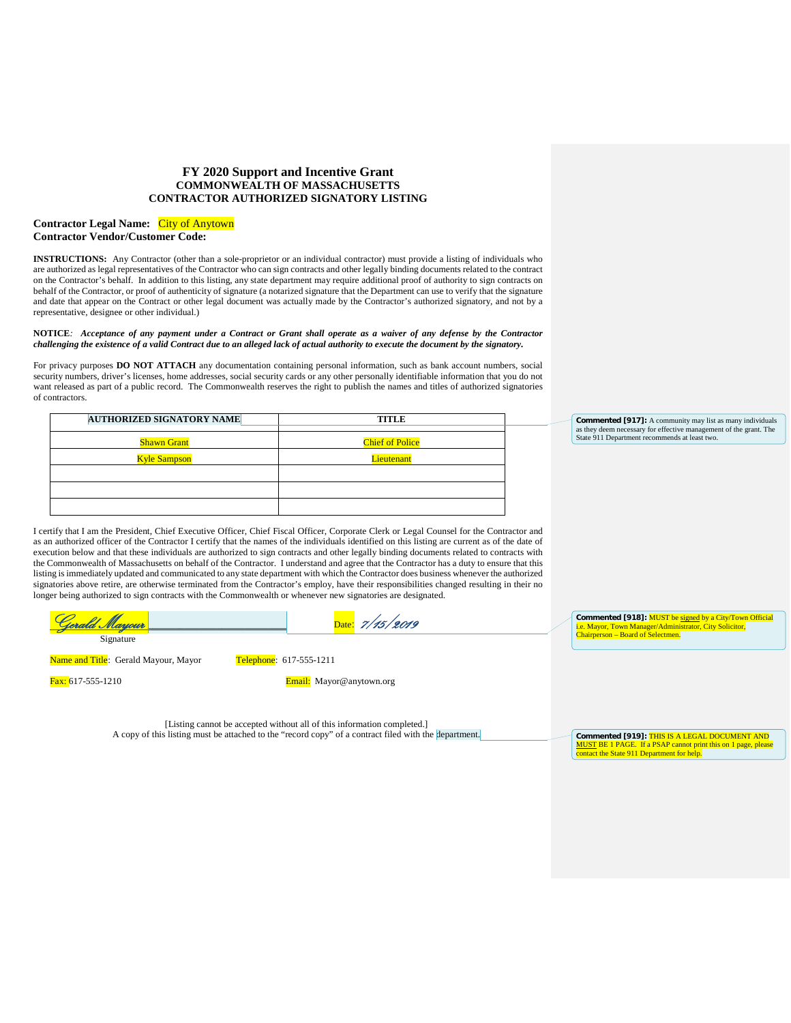### **FY 2020 Support and Incentive Grant COMMONWEALTH OF MASSACHUSETTS CONTRACTOR AUTHORIZED SIGNATORY LISTING**

### **Contractor Legal Name:** City of Anytown **Contractor Vendor/Customer Code:**

**INSTRUCTIONS:** Any Contractor (other than a sole-proprietor or an individual contractor) must provide a listing of individuals who are authorized as legal representatives of the Contractor who can sign contracts and other legally binding documents related to the contract on the Contractor's behalf. In addition to this listing, any state department may require additional proof of authority to sign contracts on behalf of the Contractor, or proof of authenticity of signature (a notarized signature that the Department can use to verify that the signature and date that appear on the Contract or other legal document was actually made by the Contractor's authorized signatory, and not by a representative, designee or other individual.)

#### **NOTICE***: Acceptance of any payment under a Contract or Grant shall operate as a waiver of any defense by the Contractor challenging the existence of a valid Contract due to an alleged lack of actual authority to execute the document by the signatory.*

For privacy purposes **DO NOT ATTACH** any documentation containing personal information, such as bank account numbers, social security numbers, driver's licenses, home addresses, social security cards or any other personally identifiable information that you do not want released as part of a public record. The Commonwealth reserves the right to publish the names and titles of authorized signatories of contractors.

| <b>AUTHORIZED SIGNATORY NAME</b> | TITLE                  |
|----------------------------------|------------------------|
|                                  |                        |
| <b>Shawn Grant</b>               | <b>Chief of Police</b> |
| <b>Kyle Sampson</b>              | Lieutenant             |
|                                  |                        |
|                                  |                        |
|                                  |                        |

**Commented [917]:** A community may list as many individuals as they deem necessary for effective management of the grant. The State 911 Department recommends at least two.

I certify that I am the President, Chief Executive Officer, Chief Fiscal Officer, Corporate Clerk or Legal Counsel for the Contractor and as an authorized officer of the Contractor I certify that the names of the individuals identified on this listing are current as of the date of execution below and that these individuals are authorized to sign contracts and other legally binding documents related to contracts with the Commonwealth of Massachusetts on behalf of the Contractor. I understand and agree that the Contractor has a duty to ensure that this listing is immediately updated and communicated to any state department with which the Contractor does business whenever the authorized signatories above retire, are otherwise terminated from the Contractor's employ, have their responsibilities changed resulting in their no longer being authorized to sign contracts with the Commonwealth or whenever new signatories are designated.

| <u> Naniour</u>                             | Date: $7/15/2019$       | Commented [918]: MUST be signed by a City/Town Official<br><i>i.e.</i> Mayor, Town Manager/Administrator, City Solicitor, |
|---------------------------------------------|-------------------------|---------------------------------------------------------------------------------------------------------------------------|
| Signature                                   |                         | <b>Chairperson – Board of Selectmen.</b>                                                                                  |
| <b>Name and Title:</b> Gerald Mavour, Mavor | Telephone: 617-555-1211 |                                                                                                                           |

Fax: 617-555-1210 Email: Mayor@anytown.org

**Commented [919]:** THIS IS A LEGAL DOCUMENT AND MUST BE 1 PAGE. If a PSAP cannot print this on 1 page, please contact the State 911 Department for help.

[Listing cannot be accepted without all of this information completed.] A copy of this listing must be attached to the "record copy" of a contract filed with the department.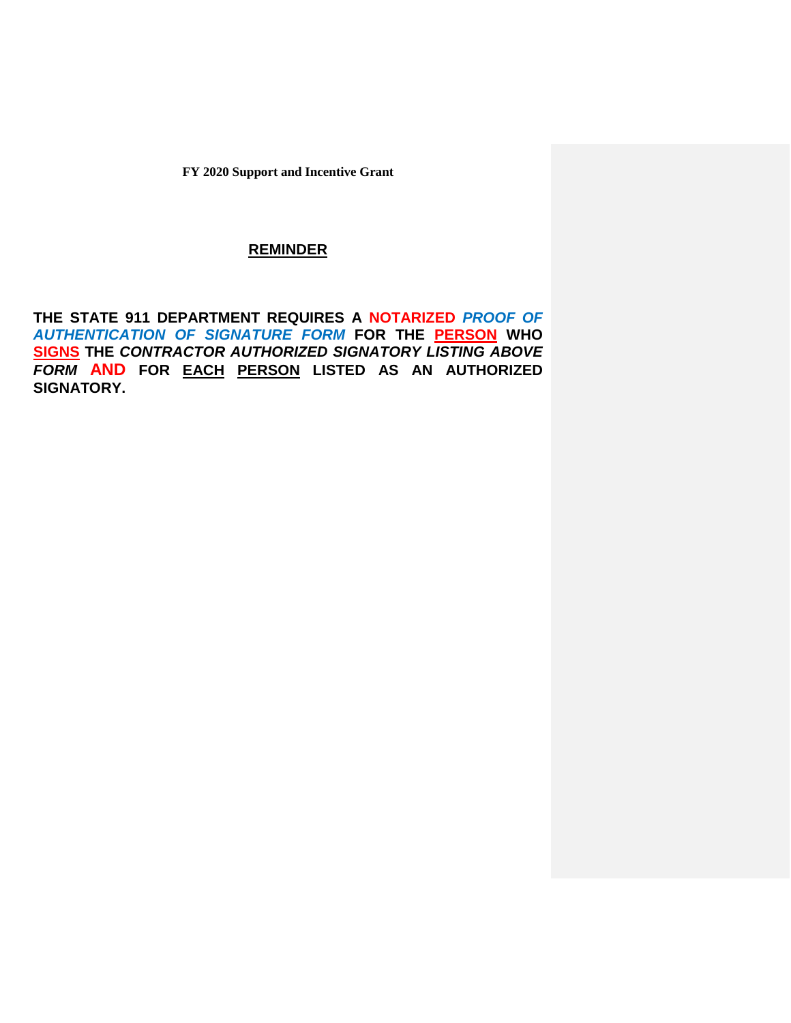# **REMINDER**

**THE STATE 911 DEPARTMENT REQUIRES A NOTARIZED** *PROOF OF AUTHENTICATION OF SIGNATURE FORM* **FOR THE PERSON WHO SIGNS THE** *CONTRACTOR AUTHORIZED SIGNATORY LISTING ABOVE FORM* **AND FOR EACH PERSON LISTED AS AN AUTHORIZED SIGNATORY.**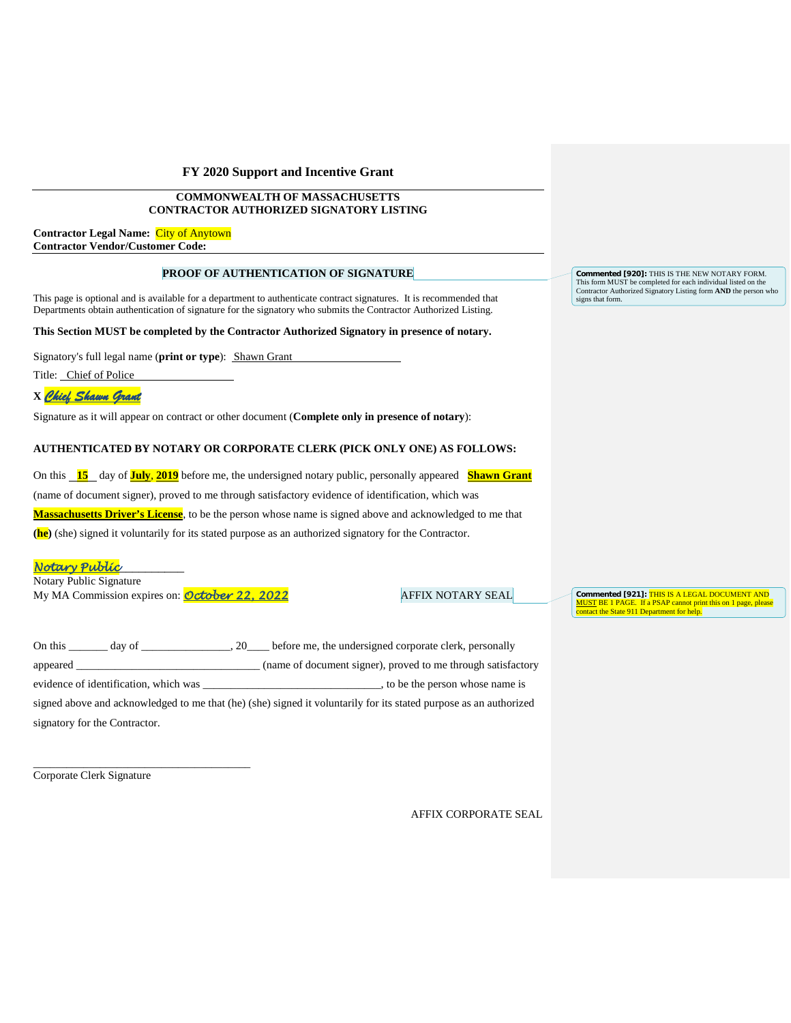### **COMMONWEALTH OF MASSACHUSETTS CONTRACTOR AUTHORIZED SIGNATORY LISTING**

**Contractor Legal Name:** City of Anytown **Contractor Vendor/Customer Code:**

### **PROOF OF AUTHENTICATION OF SIGNATURE**

This page is optional and is available for a department to authenticate contract signatures. It is recommended that Departments obtain authentication of signature for the signatory who submits the Contractor Authorized Listing.

**This Section MUST be completed by the Contractor Authorized Signatory in presence of notary.**

Signatory's full legal name (**print or type**): Shawn Grant

Title: Chief of Police

# **X** *Chief Shawn Grant*

Signature as it will appear on contract or other document (**Complete only in presence of notary**):

### **AUTHENTICATED BY NOTARY OR CORPORATE CLERK (PICK ONLY ONE) AS FOLLOWS:**

On this **15** day of **July**, **2019** before me, the undersigned notary public, personally appeared **Shawn Grant** (name of document signer), proved to me through satisfactory evidence of identification, which was **Massachusetts Driver's License**, to be the person whose name is signed above and acknowledged to me that **(he)** (she) signed it voluntarily for its stated purpose as an authorized signatory for the Contractor.

## *Notary Public*\_\_\_\_\_\_\_\_\_\_

Notary Public Signature My MA Commission expires on: **October 22, 2022** AFFIX NOTARY SEAL

\_\_\_\_\_\_\_\_\_\_\_\_\_\_\_\_\_\_\_\_\_\_\_\_\_\_\_\_\_\_\_\_\_\_\_\_\_\_\_

**Commented [921]:** THIS IS A LEGAL DOCUMENT AND MUST BE 1 PAGE. If a PSAP cannot print this on 1 page, please contact the State 911 Department for help.

| On this<br>day of<br>20               | before me, the undersigned corporate clerk, personally                                                            |
|---------------------------------------|-------------------------------------------------------------------------------------------------------------------|
| appeared _                            | (name of document signer), proved to me through satisfactory                                                      |
| evidence of identification, which was | , to be the person whose name is                                                                                  |
|                                       | signed above and acknowledged to me that (he) (she) signed it voluntarily for its stated purpose as an authorized |
| signatory for the Contractor.         |                                                                                                                   |

Corporate Clerk Signature

AFFIX CORPORATE SEAL

**Commented [920]:** THIS IS THE NEW NOTARY FORM. This form MUST be completed for each individual listed on the Contractor Authorized Signatory Listing form **AND** the person who signs that form.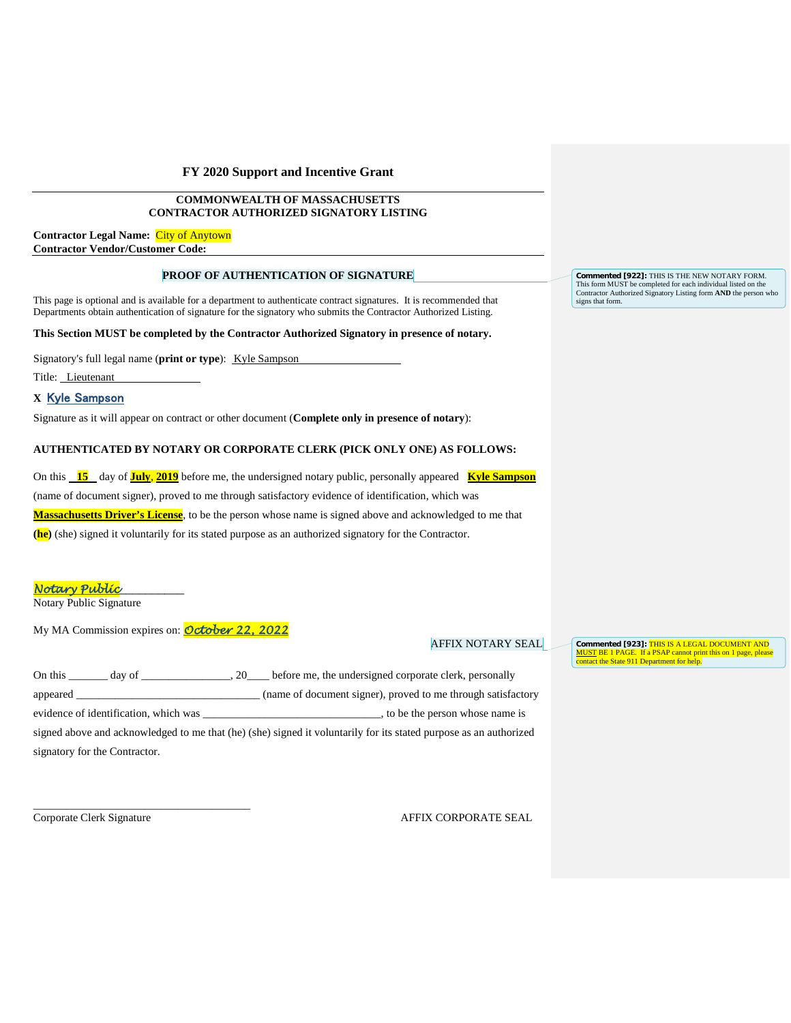### **COMMONWEALTH OF MASSACHUSETTS CONTRACTOR AUTHORIZED SIGNATORY LISTING**

**Contractor Legal Name:** City of Anytown **Contractor Vendor/Customer Code:**

### **PROOF OF AUTHENTICATION OF SIGNATURE**

This page is optional and is available for a department to authenticate contract signatures. It is recommended that Departments obtain authentication of signature for the signatory who submits the Contractor Authorized Listing.

**This Section MUST be completed by the Contractor Authorized Signatory in presence of notary.**

Signatory's full legal name (print or type): Kyle Sampson

Title: Lieutenant

# **X** Kyle Sampson

Signature as it will appear on contract or other document (**Complete only in presence of notary**):

### **AUTHENTICATED BY NOTARY OR CORPORATE CLERK (PICK ONLY ONE) AS FOLLOWS:**

On this **15** day of **July**, **2019** before me, the undersigned notary public, personally appeared **Kyle Sampson** (name of document signer), proved to me through satisfactory evidence of identification, which was **Massachusetts Driver's License**, to be the person whose name is signed above and acknowledged to me that **(he)** (she) signed it voluntarily for its stated purpose as an authorized signatory for the Contractor.

*Notary Public*\_\_\_\_\_\_\_\_\_\_

Notary Public Signature

My MA Commission expires on: *October 22, 2022*

### AFFIX NOTARY SEAL

**Commented [923]:** THIS IS A LEGAL DOCUMENT AND MUST BE 1 PAGE. If a PSAP cannot print this on 1 page, please contact the State 911 Department for help.

| On this<br>day of                     | 20 before me, the undersigned corporate clerk, personally                                                         |
|---------------------------------------|-------------------------------------------------------------------------------------------------------------------|
|                                       | (name of document signer), proved to me through satisfactory                                                      |
| evidence of identification, which was | , to be the person whose name is                                                                                  |
|                                       | signed above and acknowledged to me that (he) (she) signed it voluntarily for its stated purpose as an authorized |
| signatory for the Contractor.         |                                                                                                                   |
|                                       |                                                                                                                   |

\_\_\_\_\_\_\_\_\_\_\_\_\_\_\_\_\_\_\_\_\_\_\_\_\_\_\_\_\_\_\_\_\_\_\_\_\_\_\_

Corporate Clerk Signature AFFIX CORPORATE SEAL

**Commented [922]:** THIS IS THE NEW NOTARY FORM. This form MUST be completed for each individual listed on the Contractor Authorized Signatory Listing form **AND** the person who signs that form.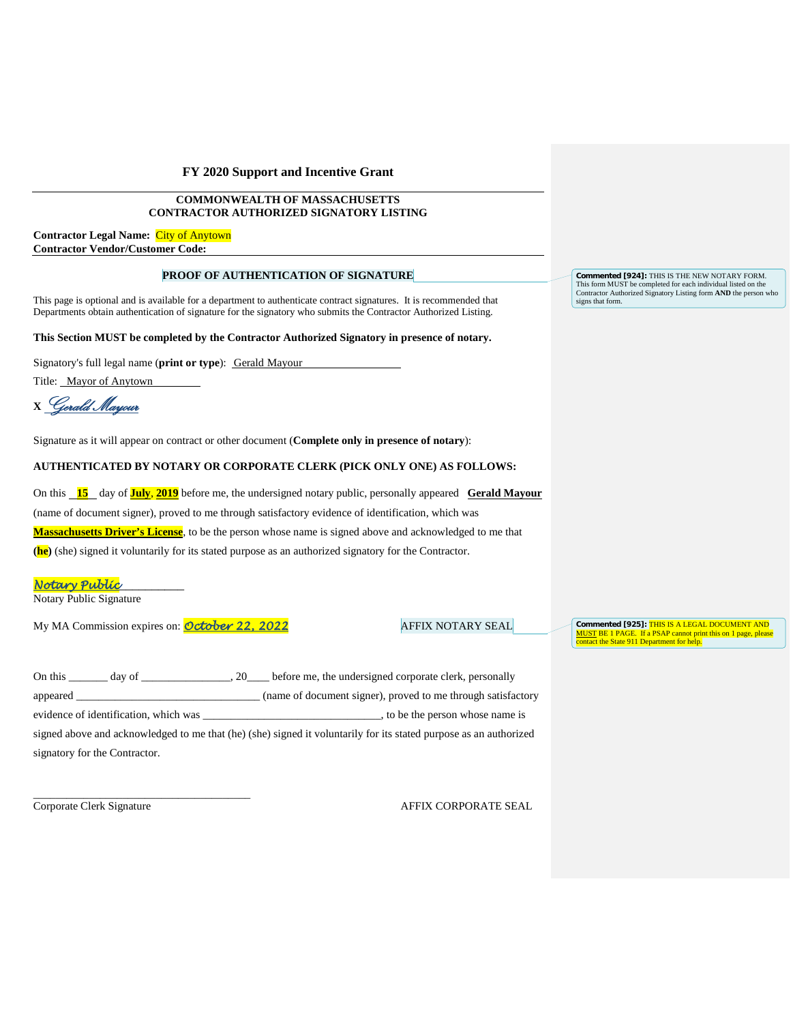### **COMMONWEALTH OF MASSACHUSETTS CONTRACTOR AUTHORIZED SIGNATORY LISTING**

**Contractor Legal Name:** City of Anytown **Contractor Vendor/Customer Code:**

### **PROOF OF AUTHENTICATION OF SIGNATURE**

This page is optional and is available for a department to authenticate contract signatures. It is recommended that Departments obtain authentication of signature for the signatory who submits the Contractor Authorized Listing.

#### **This Section MUST be completed by the Contractor Authorized Signatory in presence of notary.**

Signatory's full legal name (**print or type**): Gerald Mayour

Title: Mayor of Anytown

**<sup>X</sup>**Gerald Mayour

Signature as it will appear on contract or other document (**Complete only in presence of notary**):

### **AUTHENTICATED BY NOTARY OR CORPORATE CLERK (PICK ONLY ONE) AS FOLLOWS:**

On this **15** day of **July**, **2019** before me, the undersigned notary public, personally appeared **Gerald Mayour** (name of document signer), proved to me through satisfactory evidence of identification, which was

**Massachusetts Driver's License**, to be the person whose name is signed above and acknowledged to me that

**(he)** (she) signed it voluntarily for its stated purpose as an authorized signatory for the Contractor.

*Notary Public*\_\_\_\_\_\_\_\_\_\_

Notary Public Signature

My MA Commission expires on: *October 22, 2022* AFFIX NOTARY SEAL

**Commented [925]:** THIS IS A LEGAL DOCUMENT AND MUST BE 1 PAGE. If a PSAP cannot print this on 1 page, please contact the State 911 Department for help.

| On this day of                        | 20 before me, the undersigned corporate clerk, personally                                                         |
|---------------------------------------|-------------------------------------------------------------------------------------------------------------------|
| appeared _                            | (name of document signer), proved to me through satisfactory                                                      |
| evidence of identification, which was | to be the person whose name is                                                                                    |
|                                       | signed above and acknowledged to me that (he) (she) signed it voluntarily for its stated purpose as an authorized |
| signatory for the Contractor.         |                                                                                                                   |
|                                       |                                                                                                                   |

\_\_\_\_\_\_\_\_\_\_\_\_\_\_\_\_\_\_\_\_\_\_\_\_\_\_\_\_\_\_\_\_\_\_\_\_\_\_\_

Corporate Clerk Signature AFFIX CORPORATE SEAL

**Commented [924]:** THIS IS THE NEW NOTARY FORM. This form MUST be completed for each individual listed on the Contractor Authorized Signatory Listing form **AND** the person who signs that form.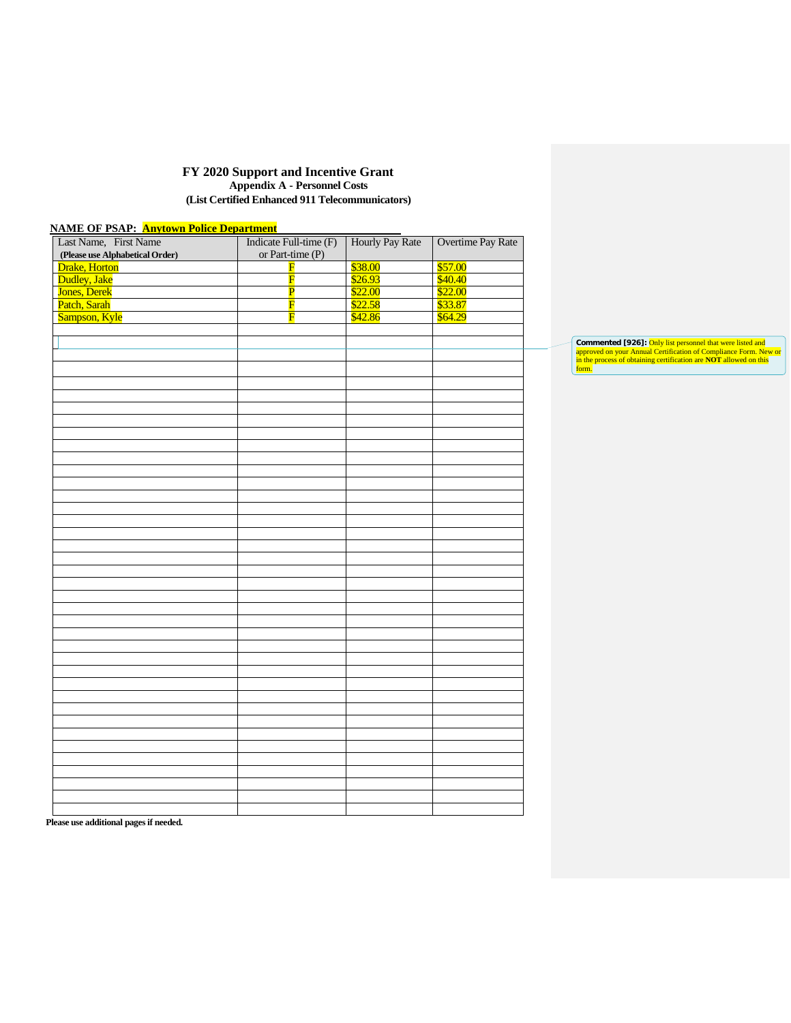### **FY 2020 Support and Incentive Grant Appendix A - Personnel Costs (List Certified Enhanced 911 Telecommunicators)**

| <b>NAME OF PSAP: Anytown Police Department</b><br>Last Name, First Name | Indicate Full-time (F)<br>or Part-time (P) | Hourly Pay Rate | Overtime Pay Rate |
|-------------------------------------------------------------------------|--------------------------------------------|-----------------|-------------------|
| (Please use Alphabetical Order)                                         |                                            | \$38.00         | \$57.00           |
| Drake, Horton                                                           | $\mathbf F$                                |                 |                   |
| Dudley, Jake                                                            | $\overline{\mathbf{F}}$                    | \$26.93         | \$40.40           |
| Jones, Derek                                                            | $\overline{\mathbf{P}}$                    | \$22.00         | \$22.00           |
| Patch, Sarah                                                            | $\overline{\mathbf{F}}$                    | \$22.58         | \$33.87           |
| Sampson, Kyle                                                           | $\overline{\mathbf{F}}$                    | \$42.86         | \$64.29           |
|                                                                         |                                            |                 |                   |
|                                                                         |                                            |                 |                   |
|                                                                         |                                            |                 |                   |
|                                                                         |                                            |                 |                   |
|                                                                         |                                            |                 |                   |
|                                                                         |                                            |                 |                   |
|                                                                         |                                            |                 |                   |
|                                                                         |                                            |                 |                   |
|                                                                         |                                            |                 |                   |
|                                                                         |                                            |                 |                   |
|                                                                         |                                            |                 |                   |
|                                                                         |                                            |                 |                   |
|                                                                         |                                            |                 |                   |
|                                                                         |                                            |                 |                   |
|                                                                         |                                            |                 |                   |
|                                                                         |                                            |                 |                   |
|                                                                         |                                            |                 |                   |
|                                                                         |                                            |                 |                   |
|                                                                         |                                            |                 |                   |
|                                                                         |                                            |                 |                   |
|                                                                         |                                            |                 |                   |
|                                                                         |                                            |                 |                   |
|                                                                         |                                            |                 |                   |
|                                                                         |                                            |                 |                   |
|                                                                         |                                            |                 |                   |
|                                                                         |                                            |                 |                   |
|                                                                         |                                            |                 |                   |
|                                                                         |                                            |                 |                   |
|                                                                         |                                            |                 |                   |
|                                                                         |                                            |                 |                   |
|                                                                         |                                            |                 |                   |
|                                                                         |                                            |                 |                   |
|                                                                         |                                            |                 |                   |
|                                                                         |                                            |                 |                   |
|                                                                         |                                            |                 |                   |
|                                                                         |                                            |                 |                   |
|                                                                         |                                            |                 |                   |
|                                                                         |                                            |                 |                   |
|                                                                         |                                            |                 |                   |
|                                                                         |                                            |                 |                   |
|                                                                         |                                            |                 |                   |
|                                                                         |                                            |                 |                   |
|                                                                         |                                            |                 |                   |
|                                                                         |                                            |                 |                   |
|                                                                         |                                            |                 |                   |

**Please use additional pages if needed.**